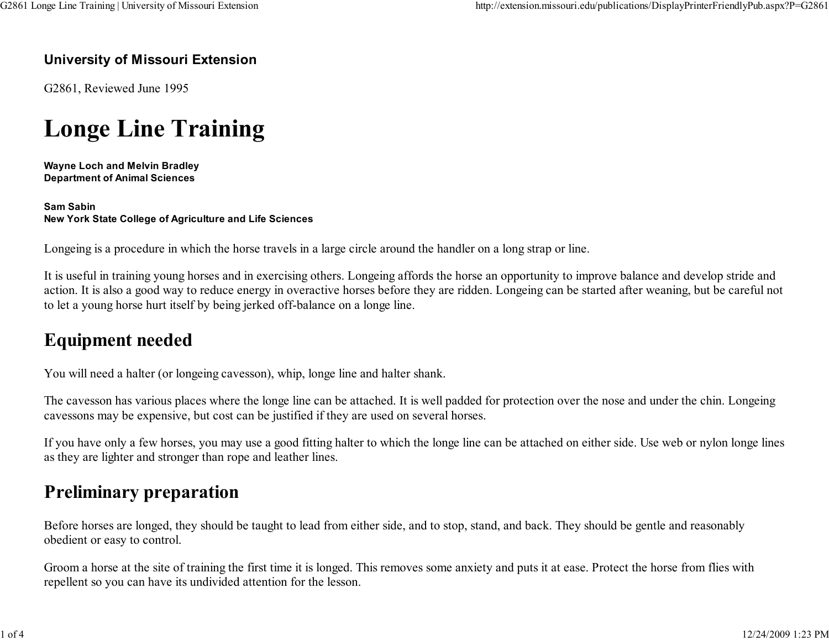#### University of Missouri Extension

G2861, Reviewed June 1995

# Longe Line Training

Wayne Loch and Melvin BradleyDepartment of Animal Sciences

Sam SabinNew York State College of Agriculture and Life Sciences

Longeing is a procedure in which the horse travels in a large circle around the handler on a long strap or line.

It is useful in training young horses and in exercising others. Longeing affords the horse an opportunity to improve balance and develop stride and action. It is also a good way to reduce energy in overactive horses before they are ridden. Longeing can be started after weaning, but be careful notto let a young horse hurt itself by being jerked off-balance on a longe line.

### Equipment needed

You will need a halter (or longeing cavesson), whip, longe line and halter shank.

The cavesson has various places where the longe line can be attached. It is well padded for protection over the nose and under the chin. Longeingcavessons may be expensive, but cost can be justified if they are used on several horses.

If you have only a few horses, you may use a good fitting halter to which the longe line can be attached on either side. Use web or nylon longe linesas they are lighter and stronger than rope and leather lines.

### Preliminary preparation

Before horses are longed, they should be taught to lead from either side, and to stop, stand, and back. They should be gentle and reasonablyobedient or easy to control.

Groom a horse at the site of training the first time it is longed. This removes some anxiety and puts it at ease. Protect the horse from flies withrepellent so you can have its undivided attention for the lesson.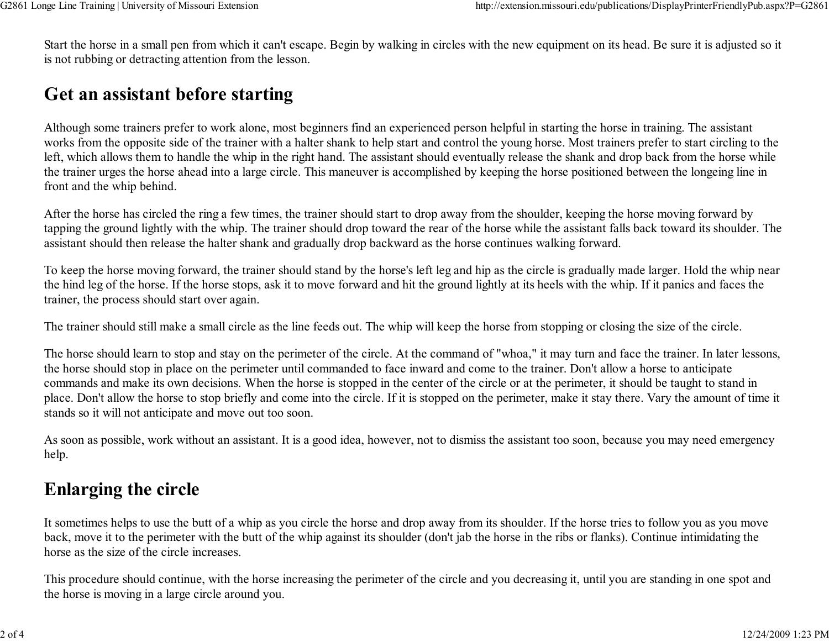Start the horse in a small pen from which it can't escape. Begin by walking in circles with the new equipment on its head. Be sure it is adjusted so itis not rubbing or detracting attention from the lesson.

## Get an assistant before starting

Although some trainers prefer to work alone, most beginners find an experienced person helpful in starting the horse in training. The assistant works from the opposite side of the trainer with a halter shank to help start and control the young horse. Most trainers prefer to start circling to the left, which allows them to handle the whip in the right hand. The assistant should eventually release the shank and drop back from the horse while the trainer urges the horse ahead into a large circle. This maneuver is accomplished by keeping the horse positioned between the longeing line infront and the whip behind.

After the horse has circled the ring a few times, the trainer should start to drop away from the shoulder, keeping the horse moving forward by tapping the ground lightly with the whip. The trainer should drop toward the rear of the horse while the assistant falls back toward its shoulder. Theassistant should then release the halter shank and gradually drop backward as the horse continues walking forward.

To keep the horse moving forward, the trainer should stand by the horse's left leg and hip as the circle is gradually made larger. Hold the whip nearthe hind leg of the horse. If the horse stops, ask it to move forward and hit the ground lightly at its heels with the whip. If it panics and faces thetrainer, the process should start over again.

The trainer should still make a small circle as the line feeds out. The whip will keep the horse from stopping or closing the size of the circle.

The horse should learn to stop and stay on the perimeter of the circle. At the command of "whoa," it may turn and face the trainer. In later lessons,the horse should stop in place on the perimeter until commanded to face inward and come to the trainer. Don't allow a horse to anticipate commands and make its own decisions. When the horse is stopped in the center of the circle or at the perimeter, it should be taught to stand in place. Don't allow the horse to stop briefly and come into the circle. If it is stopped on the perimeter, make it stay there. Vary the amount of time itstands so it will not anticipate and move out too soon.

As soon as possible, work without an assistant. It is a good idea, however, not to dismiss the assistant too soon, because you may need emergencyhelp.

# Enlarging the circle

It sometimes helps to use the butt of a whip as you circle the horse and drop away from its shoulder. If the horse tries to follow you as you moveback, move it to the perimeter with the butt of the whip against its shoulder (don't jab the horse in the ribs or flanks). Continue intimidating thehorse as the size of the circle increases.

This procedure should continue, with the horse increasing the perimeter of the circle and you decreasing it, until you are standing in one spot andthe horse is moving in a large circle around you.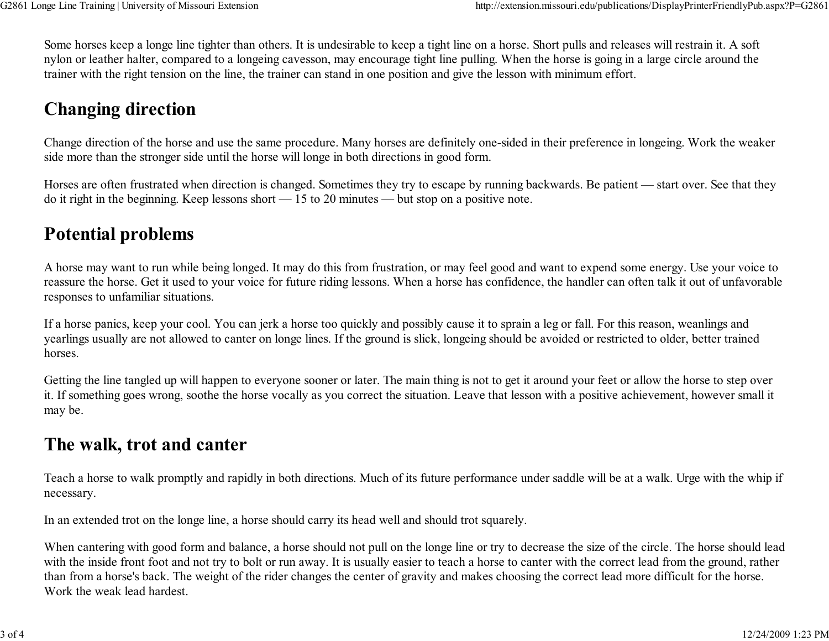Some horses keep a longe line tighter than others. It is undesirable to keep a tight line on a horse. Short pulls and releases will restrain it. A soft nylon or leather halter, compared to a longeing cavesson, may encourage tight line pulling. When the horse is going in a large circle around thetrainer with the right tension on the line, the trainer can stand in one position and give the lesson with minimum effort.

# Changing direction

Change direction of the horse and use the same procedure. Many horses are definitely one-sided in their preference in longeing. Work the weakerside more than the stronger side until the horse will longe in both directions in good form.

Horses are often frustrated when direction is changed. Sometimes they try to escape by running backwards. Be patient — start over. See that theydo it right in the beginning. Keep lessons short — 15 to 20 minutes — but stop on a positive note.

#### Potential problems

A horse may want to run while being longed. It may do this from frustration, or may feel good and want to expend some energy. Use your voice to reassure the horse. Get it used to your voice for future riding lessons. When a horse has confidence, the handler can often talk it out of unfavorableresponses to unfamiliar situations.

If a horse panics, keep your cool. You can jerk a horse too quickly and possibly cause it to sprain a leg or fall. For this reason, weanlings and yearlings usually are not allowed to canter on longe lines. If the ground is slick, longeing should be avoided or restricted to older, better trainedhorses.

Getting the line tangled up will happen to everyone sooner or later. The main thing is not to get it around your feet or allow the horse to step over it. If something goes wrong, soothe the horse vocally as you correct the situation. Leave that lesson with a positive achievement, however small itmay be.

#### The walk, trot and canter

Teach a horse to walk promptly and rapidly in both directions. Much of its future performance under saddle will be at a walk. Urge with the whip ifnecessary.

In an extended trot on the longe line, a horse should carry its head well and should trot squarely.

When cantering with good form and balance, a horse should not pull on the longe line or try to decrease the size of the circle. The horse should lead with the inside front foot and not try to bolt or run away. It is usually easier to teach a horse to canter with the correct lead from the ground, ratherthan from a horse's back. The weight of the rider changes the center of gravity and makes choosing the correct lead more difficult for the horse.Work the weak lead hardest.